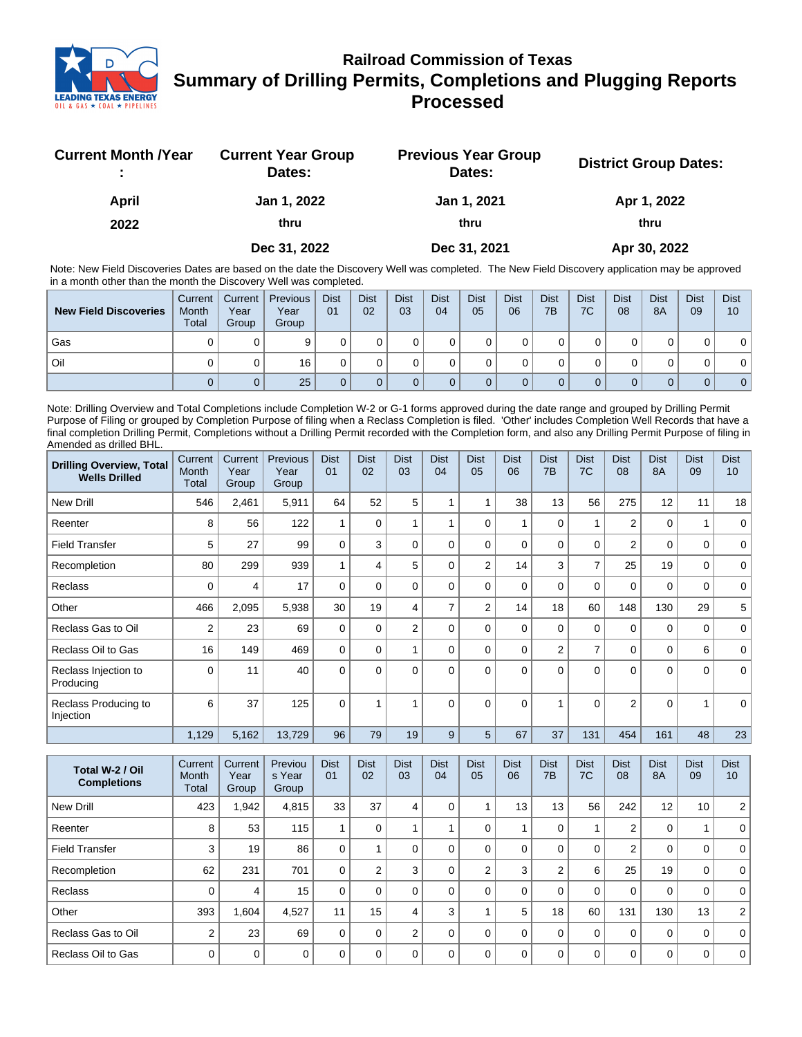

## **Railroad Commission of Texas Summary of Drilling Permits, Completions and Plugging Reports Processed**

| <b>Current Month /Year</b> | <b>Current Year Group</b><br>Dates: | <b>Previous Year Group</b><br>Dates: | <b>District Group Dates:</b> |
|----------------------------|-------------------------------------|--------------------------------------|------------------------------|
| April                      | Jan 1, 2022                         | Jan 1, 2021                          | Apr 1, 2022                  |
| 2022                       | thru                                | thru                                 | thru                         |
|                            | Dec 31, 2022                        | Dec 31, 2021                         | Apr 30, 2022                 |

Note: New Field Discoveries Dates are based on the date the Discovery Well was completed. The New Field Discovery application may be approved in a month other than the month the Discovery Well was completed.

| <b>New Field Discoveries</b> | Current<br>Month<br><b>Total</b> | Current  <br>Year<br>Group | Previous<br>Year<br>Group | <b>Dist</b><br>01 | <b>Dist</b><br>02 | <b>Dist</b><br>03 | <b>Dist</b><br>04 | <b>Dist</b><br>05 | <b>Dist</b><br>06 | <b>Dist</b><br>7B | <b>Dist</b><br>7C | <b>Dist</b><br>08 | <b>Dist</b><br><b>8A</b> | <b>Dist</b><br>09 | <b>Dist</b><br>10 |
|------------------------------|----------------------------------|----------------------------|---------------------------|-------------------|-------------------|-------------------|-------------------|-------------------|-------------------|-------------------|-------------------|-------------------|--------------------------|-------------------|-------------------|
| Gas                          |                                  | 0                          |                           |                   |                   |                   |                   |                   |                   |                   |                   |                   |                          |                   | 0                 |
| l Oil                        |                                  | 0                          | 16                        |                   |                   |                   |                   |                   |                   |                   |                   |                   |                          |                   | 0 <sup>1</sup>    |
|                              |                                  | 0                          | 25                        |                   |                   |                   |                   |                   |                   |                   |                   |                   |                          |                   | 0 <sup>1</sup>    |

Note: Drilling Overview and Total Completions include Completion W-2 or G-1 forms approved during the date range and grouped by Drilling Permit Purpose of Filing or grouped by Completion Purpose of filing when a Reclass Completion is filed. 'Other' includes Completion Well Records that have a final completion Drilling Permit, Completions without a Drilling Permit recorded with the Completion form, and also any Drilling Permit Purpose of filing in Amended as drilled BHL.

| <b>Drilling Overview, Total</b><br><b>Wells Drilled</b> | Current<br>Month<br>Total | Current<br>Year<br>Group | Previous<br>Year<br>Group | <b>Dist</b><br>01 | <b>Dist</b><br>02 | <b>Dist</b><br>03 | <b>Dist</b><br>04 | <b>Dist</b><br>05 | Dist<br>06 | <b>Dist</b><br>7 <sub>B</sub> | <b>Dist</b><br>7C | <b>Dist</b><br>08 | <b>Dist</b><br>8A | <b>Dist</b><br>09 | <b>Dist</b><br>10 <sup>1</sup> |
|---------------------------------------------------------|---------------------------|--------------------------|---------------------------|-------------------|-------------------|-------------------|-------------------|-------------------|------------|-------------------------------|-------------------|-------------------|-------------------|-------------------|--------------------------------|
| <b>New Drill</b>                                        | 546                       | 2,461                    | 5,911                     | 64                | 52                | 5                 |                   |                   | 38         | 13                            | 56                | 275               | 12                | 11                | 18 <sup>1</sup>                |
| Reenter                                                 | 8                         | 56                       | 122                       |                   | $\Omega$          |                   |                   | $\Omega$          |            | $\Omega$                      | 1                 | $\overline{2}$    | 0                 |                   | $\Omega$                       |
| <b>Field Transfer</b>                                   | 5                         | 27                       | 99                        | 0                 | 3                 | 0                 | $\Omega$          | $\Omega$          | 0          | $\mathbf 0$                   | $\mathbf 0$       | $\overline{2}$    | 0                 | 0                 | $\mathbf 0$                    |
| Recompletion                                            | 80                        | 299                      | 939                       |                   | 4                 | 5                 | $\mathbf{0}$      | $\overline{2}$    | 14         | 3                             | $\overline{7}$    | 25                | 19                | 0                 | $\mathbf 0$                    |
| Reclass                                                 | 0                         | 4                        | 17                        | 0                 | $\Omega$          | $\Omega$          | $\mathbf{0}$      | $\Omega$          | $\Omega$   | $\mathbf 0$                   | $\mathbf 0$       | $\mathbf 0$       | 0                 | $\Omega$          | $\mathbf 0$                    |
| Other                                                   | 466                       | 2,095                    | 5,938                     | 30                | 19                | 4                 | 7                 | $\overline{2}$    | 14         | 18                            | 60                | 148               | 130               | 29                | 5                              |
| Reclass Gas to Oil                                      | $\overline{2}$            | 23                       | 69                        | 0                 | $\Omega$          | $\overline{2}$    | $\Omega$          | $\Omega$          | 0          | $\mathbf 0$                   | $\mathbf 0$       | $\mathbf 0$       | 0                 | 0                 | $\mathbf 0$                    |
| Reclass Oil to Gas                                      | 16                        | 149                      | 469                       | $\Omega$          | $\Omega$          |                   | $\Omega$          | $\Omega$          | $\Omega$   | $\overline{2}$                | $\overline{7}$    | $\mathbf 0$       | 0                 | 6                 | $\mathbf 0$                    |
| Reclass Injection to<br>Producing                       | 0                         | 11                       | 40                        | 0                 | $\Omega$          | 0                 | $\Omega$          | $\Omega$          | $\Omega$   | $\Omega$                      | $\Omega$          | $\Omega$          | $\Omega$          | $\Omega$          | $\Omega$                       |
| Reclass Producing to<br>Injection                       | 6                         | 37                       | 125                       | $\mathbf{0}$      |                   |                   | $\Omega$          | $\Omega$          | $\Omega$   | 1                             | $\Omega$          | $\overline{2}$    | 0                 |                   | $\Omega$                       |
|                                                         | 1,129                     | 5,162                    | 13,729                    | 96                | 79                | 19                | 9                 | 5                 | 67         | 37                            | 131               | 454               | 161               | 48                | 23                             |

| Total W-2 / Oil<br><b>Completions</b> | Current<br>Month<br>Total | Current<br>Year<br>Group | Previou<br>s Year<br>Group | <b>Dist</b><br>01 | <b>Dist</b><br>02 | <b>Dist</b><br>03 | <b>Dist</b><br>04 | <b>Dist</b><br>05 | <b>Dist</b><br>06 | <b>Dist</b><br>7B | <b>Dist</b><br>7C | <b>Dist</b><br>08 | <b>Dist</b><br><b>8A</b> | <b>Dist</b><br>09 | <b>Dist</b><br>10 <sup>°</sup> |
|---------------------------------------|---------------------------|--------------------------|----------------------------|-------------------|-------------------|-------------------|-------------------|-------------------|-------------------|-------------------|-------------------|-------------------|--------------------------|-------------------|--------------------------------|
| <b>New Drill</b>                      | 423                       | .942                     | 4,815                      | 33                | 37                | 4                 | 0                 |                   | 13                | 13                | 56                | 242               | 12                       | 10                | 2 <sup>1</sup>                 |
| Reenter                               | 8                         | 53                       | 115                        |                   | 0                 |                   |                   |                   |                   | 0                 |                   | 2                 | 0                        |                   | 0                              |
| <b>Field Transfer</b>                 | 3                         | 19                       | 86                         | 0                 |                   | 0                 |                   |                   | $\Omega$          | 0                 | 0                 | 2                 | 0                        | 0                 | $\Omega$                       |
| Recompletion                          | 62                        | 231                      | 701                        | 0                 | $\overline{2}$    | 3                 |                   | $\overline{2}$    | 3                 | 2                 | 6                 | 25                | 19                       | 0                 | $\Omega$                       |
| <b>Reclass</b>                        | $\Omega$                  | 4                        | 15                         | 0                 | 0                 | 0                 | 0                 |                   | $\Omega$          | $\Omega$          | 0                 | $\Omega$          | 0                        | $\mathbf 0$       | $\Omega$                       |
| Other                                 | 393                       | .604                     | 4,527                      | 11                | 15                | 4                 | 3                 |                   | 5                 | 18                | 60                | 131               | 130                      | 13                | 2 <sup>1</sup>                 |
| Reclass Gas to Oil                    | $\overline{2}$            | 23                       | 69                         | O                 | 0                 | $\mathfrak{p}$    | 0                 |                   | $\Omega$          | 0                 | 0                 | $\mathbf 0$       | 0                        | $\mathbf 0$       | $\mathbf 0$                    |
| Reclass Oil to Gas                    | $\Omega$                  | $\mathbf 0$              | $\Omega$                   | U                 | 0                 | $\Omega$          |                   |                   | $\Omega$          | 0                 | 0                 | $\Omega$          | 0                        | 0                 | $\Omega$                       |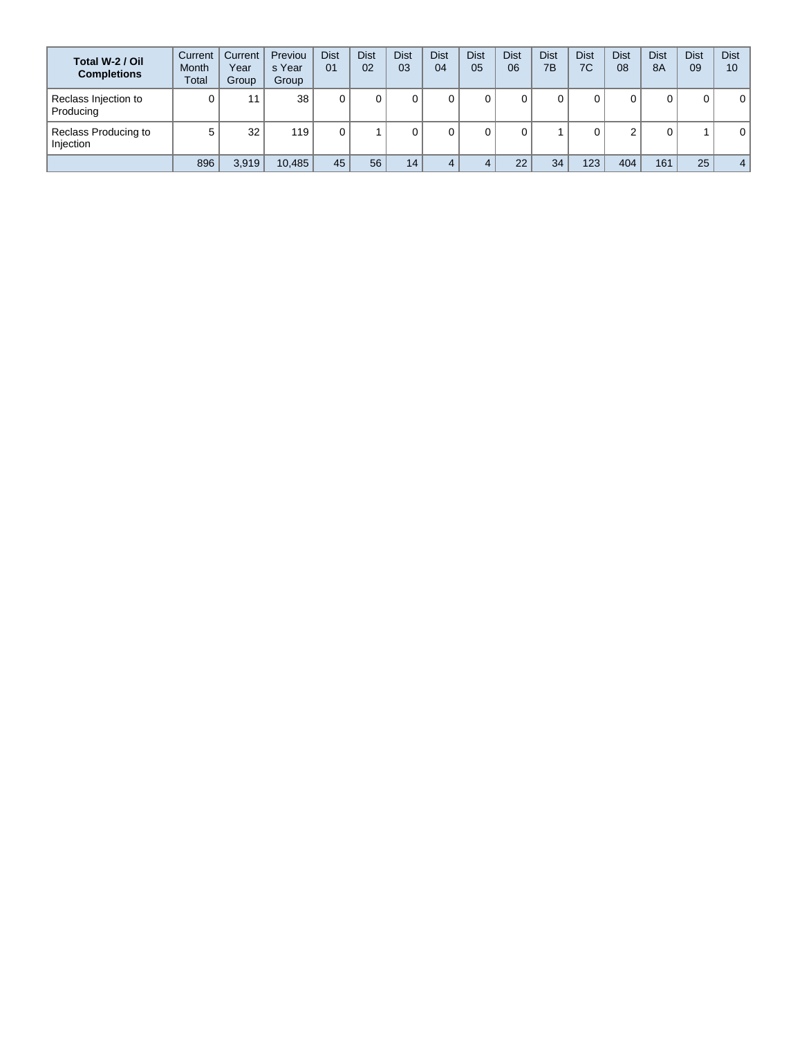| Total W-2 / Oil<br><b>Completions</b> | Current<br><b>Month</b><br>Total | Current<br>Year<br>Group | Previou<br>s Year<br>Group | <b>Dist</b><br>01 | <b>Dist</b><br>02 | <b>Dist</b><br>03 | Dist<br>04 | <b>Dist</b><br>05 | <b>Dist</b><br>06 | <b>Dist</b><br>7B | <b>Dist</b><br>7C | <b>Dist</b><br>08 | <b>Dist</b><br><b>8A</b> | <b>Dist</b><br>09 | <b>Dist</b><br>10 |
|---------------------------------------|----------------------------------|--------------------------|----------------------------|-------------------|-------------------|-------------------|------------|-------------------|-------------------|-------------------|-------------------|-------------------|--------------------------|-------------------|-------------------|
| Reclass Injection to<br>Producing     |                                  | 11                       | 38                         |                   |                   |                   | 0          |                   |                   |                   |                   | ⌒<br>U            | 0                        | 0                 | 0                 |
| Reclass Producing to<br>Injection     | 5                                | 32                       | 119                        |                   |                   |                   |            |                   |                   |                   |                   | $\sim$<br>۷       | $\Omega$                 |                   | 0                 |
|                                       | 896                              | 3,919                    | 10,485                     | 45                | 56                | 14                |            |                   | 22                | 34                | 123               | 404               | 161                      | 25                | $\sim$            |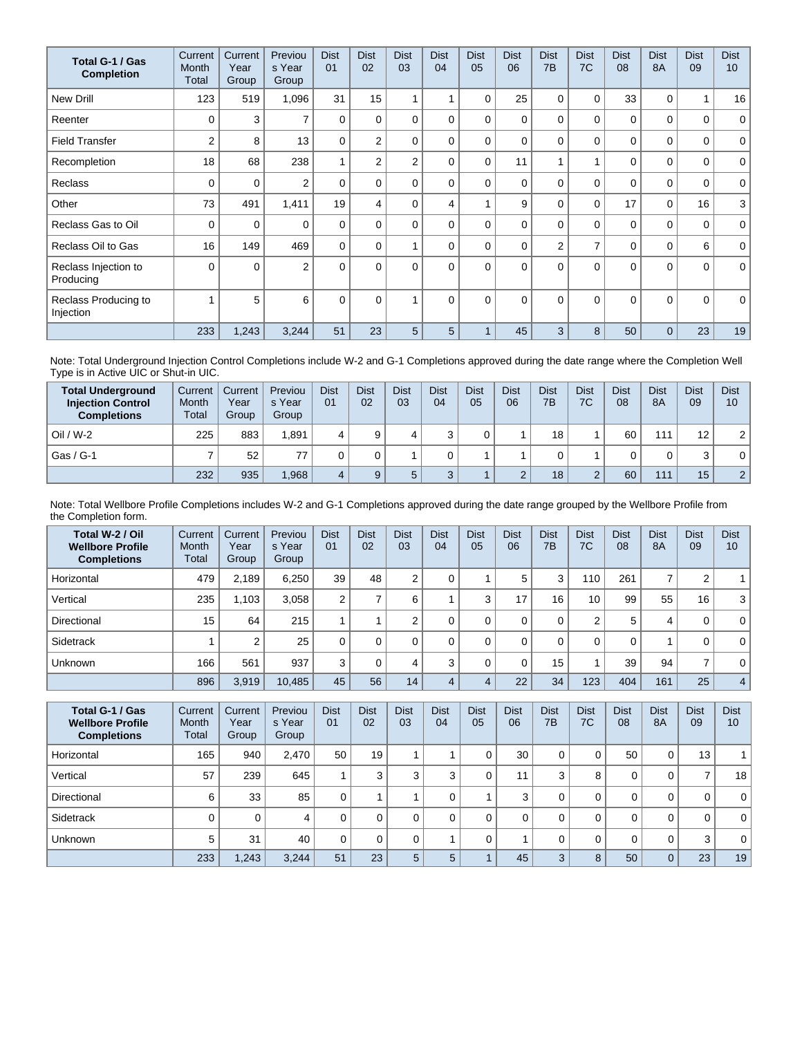| Total G-1 / Gas<br><b>Completion</b> | Current<br>Month<br>Total | Current<br>Year<br>Group | Previou<br>s Year<br>Group | <b>Dist</b><br>01 | <b>Dist</b><br>02 | <b>Dist</b><br>03 | <b>Dist</b><br>04 | <b>Dist</b><br>05 | <b>Dist</b><br>06 | <b>Dist</b><br>7 <sub>B</sub> | <b>Dist</b><br>7C | <b>Dist</b><br>08 | <b>Dist</b><br><b>8A</b> | <b>Dist</b><br>09 | <b>Dist</b><br>10 <sup>1</sup> |
|--------------------------------------|---------------------------|--------------------------|----------------------------|-------------------|-------------------|-------------------|-------------------|-------------------|-------------------|-------------------------------|-------------------|-------------------|--------------------------|-------------------|--------------------------------|
| <b>New Drill</b>                     | 123                       | 519                      | 1,096                      | 31                | 15                |                   |                   | 0                 | 25                | 0                             | 0                 | 33                | 0                        | 1                 | 16                             |
| Reenter                              | $\Omega$                  | 3                        | $\overline{ }$             | 0                 | 0                 | $\Omega$          | 0                 | 0                 | $\Omega$          | $\Omega$                      | $\Omega$          | 0                 | $\Omega$                 | 0                 | $\mathbf 0$                    |
| <b>Field Transfer</b>                | $\overline{2}$            | 8                        | 13                         | $\Omega$          | $\overline{2}$    | $\Omega$          | $\Omega$          | $\Omega$          | $\Omega$          | $\Omega$                      | 0                 | 0                 | $\Omega$                 | 0                 | $\mathbf 0$                    |
| Recompletion                         | 18                        | 68                       | 238                        | 1                 | $\overline{2}$    | $\overline{2}$    | 0                 | $\Omega$          | 11                |                               | 1                 | 0                 | $\Omega$                 | 0                 | $\mathbf 0$                    |
| <b>Reclass</b>                       | $\Omega$                  | 0                        | $\overline{2}$             | $\mathbf{0}$      | 0                 | $\Omega$          | 0                 | $\Omega$          | $\Omega$          | $\Omega$                      | $\Omega$          | $\mathbf{0}$      | $\Omega$                 | 0                 | $\mathbf 0$                    |
| Other                                | 73                        | 491                      | 1,411                      | 19                | 4                 | 0                 | 4                 |                   | 9                 | 0                             | $\mathbf 0$       | 17                | $\mathbf 0$              | 16                | 3                              |
| Reclass Gas to Oil                   | 0                         | 0                        | $\Omega$                   | $\Omega$          | $\Omega$          | $\Omega$          | 0                 | $\Omega$          | $\Omega$          | $\Omega$                      | $\Omega$          | 0                 | $\Omega$                 | 0                 | $\mathbf{0}$                   |
| Reclass Oil to Gas                   | 16                        | 149                      | 469                        | 0                 | $\Omega$          |                   | 0                 | $\Omega$          | $\Omega$          | $\overline{2}$                | $\overline{7}$    | 0                 | $\mathbf 0$              | 6                 | $\mathbf 0$                    |
| Reclass Injection to<br>Producing    | $\Omega$                  | $\Omega$                 | $\overline{2}$             | $\Omega$          | $\Omega$          | $\Omega$          | $\Omega$          | $\Omega$          | $\Omega$          | $\Omega$                      | $\Omega$          | $\mathbf{0}$      | $\Omega$                 | $\Omega$          | $\mathbf{0}$                   |
| Reclass Producing to<br>Injection    |                           | 5                        | 6                          | $\mathbf{0}$      | $\Omega$          |                   | $\Omega$          | $\Omega$          | $\Omega$          | $\Omega$                      | $\Omega$          | $\Omega$          | $\Omega$                 | $\Omega$          | $\mathbf 0$                    |
|                                      | 233                       | 1,243                    | 3,244                      | 51                | 23                | 5                 | 5                 |                   | 45                | 3                             | 8                 | 50                | $\Omega$                 | 23                | 19                             |

Note: Total Underground Injection Control Completions include W-2 and G-1 Completions approved during the date range where the Completion Well Type is in Active UIC or Shut-in UIC.

| <b>Total Underground</b><br><b>Injection Control</b><br><b>Completions</b> | Current<br>Month<br>Total | Current<br>Year<br>Group | Previou<br>s Year<br>Group | <b>Dist</b><br>01 | <b>Dist</b><br>02 | <b>Dist</b><br>03 | <b>Dist</b><br>04 | <b>Dist</b><br>05 | Dist<br>06 | <b>Dist</b><br>7B | <b>Dist</b><br>7C | <b>Dist</b><br>08 | <b>Dist</b><br><b>8A</b> | <b>Dist</b><br>09 | <b>Dist</b><br>10 |
|----------------------------------------------------------------------------|---------------------------|--------------------------|----------------------------|-------------------|-------------------|-------------------|-------------------|-------------------|------------|-------------------|-------------------|-------------------|--------------------------|-------------------|-------------------|
| $Oil / W-2$                                                                | 225                       | 883                      | 1.891                      |                   | 9                 |                   |                   |                   |            | 18                |                   | 60                | 111                      | 12                | $\overline{2}$    |
| Gas / G-1                                                                  |                           | 52                       |                            |                   |                   |                   |                   |                   |            |                   |                   |                   | 0                        | 3                 | 0                 |
|                                                                            | 232                       | 935                      | 1,968                      |                   | $\Omega$          |                   |                   |                   | $\sqrt{2}$ | 18                | $\sim$            | 60                | 111                      | 15                | $\overline{2}$    |

Note: Total Wellbore Profile Completions includes W-2 and G-1 Completions approved during the date range grouped by the Wellbore Profile from the Completion form.

| Total W-2 / Oil<br><b>Wellbore Profile</b><br><b>Completions</b> | Current<br><b>Month</b><br>Total | Current<br>Year<br>Group | Previou<br>s Year<br>Group | <b>Dist</b><br>01 | <b>Dist</b><br>02 | <b>Dist</b><br>03 | <b>Dist</b><br>04 | <b>Dist</b><br>05 | <b>Dist</b><br>06 | <b>Dist</b><br>7 <sub>B</sub> | <b>Dist</b><br>7C | <b>Dist</b><br>08 | <b>Dist</b><br><b>8A</b> | <b>Dist</b><br>09 | <b>Dist</b><br>10 |
|------------------------------------------------------------------|----------------------------------|--------------------------|----------------------------|-------------------|-------------------|-------------------|-------------------|-------------------|-------------------|-------------------------------|-------------------|-------------------|--------------------------|-------------------|-------------------|
| Horizontal                                                       | 479                              | 2.189                    | 6.250                      | 39                | 48                | C                 | 0                 |                   | 5                 | 3                             | 110               | 261               | ⇁                        | 2                 |                   |
| Vertical                                                         | 235                              | 1,103                    | 3,058                      | $\overline{2}$    |                   | 6                 |                   | 3                 | 17                | 16                            | 10                | 99                | 55                       | 16                | 3                 |
| Directional                                                      | 15                               | 64                       | 215                        |                   |                   | ⌒                 |                   |                   |                   | 0                             | $\overline{2}$    | 5                 | 4                        | 0                 | $\mathbf{0}$      |
| Sidetrack                                                        |                                  | 2                        | 25                         |                   | $\Omega$          | 0                 | 0                 |                   | $\Omega$          | 0                             | 0                 | 0                 |                          | 0                 | $\mathbf 0$       |
| Unknown                                                          | 166                              | 561                      | 937                        | 3                 |                   | 4                 | 3                 |                   |                   | 15                            |                   | 39                | 94                       | $\overline{ }$    | $\mathbf{0}$      |
|                                                                  | 896                              | 3,919                    | 10,485                     | 45                | 56                | 14                | 4                 | 4                 | 22                | 34                            | 123               | 404               | 161                      | 25                | 4                 |

| Total G-1 / Gas<br><b>Wellbore Profile</b><br><b>Completions</b> | Current<br><b>Month</b><br>Total | Current<br>Year<br>Group | Previou<br>s Year<br>Group | <b>Dist</b><br>01 | <b>Dist</b><br>02 | <b>Dist</b><br>03 | <b>Dist</b><br>04 | <b>Dist</b><br>05 | <b>Dist</b><br>06 | <b>Dist</b><br>7B | <b>Dist</b><br>7C | <b>Dist</b><br>08 | <b>Dist</b><br>8A | <b>Dist</b><br>09 | <b>Dist</b><br>10 |
|------------------------------------------------------------------|----------------------------------|--------------------------|----------------------------|-------------------|-------------------|-------------------|-------------------|-------------------|-------------------|-------------------|-------------------|-------------------|-------------------|-------------------|-------------------|
| Horizontal                                                       | 165                              | 940                      | 2.470                      | 50                | 19                |                   |                   |                   | 30                | 0                 | 0                 | 50                | 0                 | 13 <sub>1</sub>   |                   |
| Vertical                                                         | 57                               | 239                      | 645                        |                   | 3                 | 3                 | 3                 |                   | 11                | 3                 | 8                 | 0                 | 0                 | ⇁                 | 18 <sup>1</sup>   |
| Directional                                                      | 6                                | 33                       | 85                         | 0                 |                   |                   |                   |                   | 3                 | 0                 | 0                 | 0                 | 0                 | 0                 | 0 <sup>1</sup>    |
| Sidetrack                                                        |                                  | 0                        | 4                          | 0                 |                   | $\Omega$          |                   |                   |                   | 0                 | 0                 | 0                 | 0                 | 0                 | 0 <sup>1</sup>    |
| <b>Unknown</b>                                                   | 5                                | 31                       | 40                         | 0                 |                   | 0                 |                   |                   |                   | 0                 | 0                 | 0                 | 0                 | 3                 | 0 <sup>1</sup>    |
|                                                                  | 233                              | 1,243                    | 3,244                      | 51                | 23                | 5                 | 5                 |                   | 45                | 3                 | 8                 | 50                | $\overline{0}$    | 23                | 19                |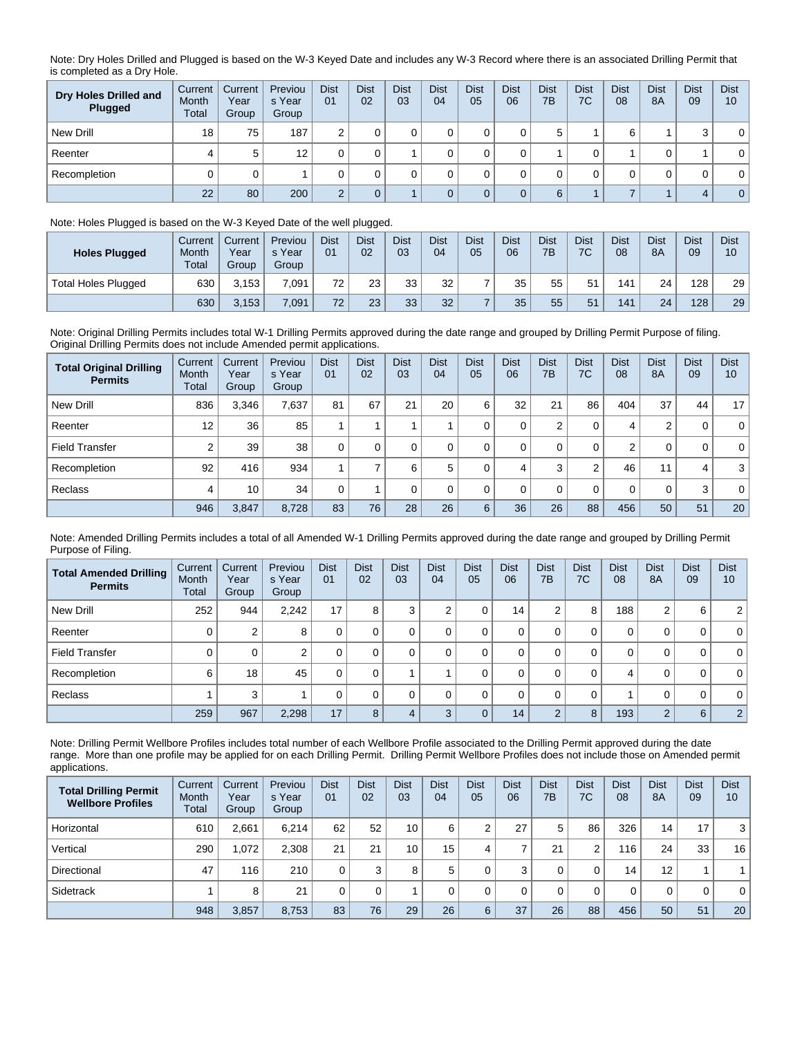Note: Dry Holes Drilled and Plugged is based on the W-3 Keyed Date and includes any W-3 Record where there is an associated Drilling Permit that is completed as a Dry Hole.

| Dry Holes Drilled and<br>Plugged | Current<br>Month<br>Total | Current<br>Year<br>Group | Previou<br>s Year<br>Group | <b>Dist</b><br>01 | <b>Dist</b><br>02 | <b>Dist</b><br>03 | <b>Dist</b><br>04 | <b>Dist</b><br>05 | <b>Dist</b><br>06 | <b>Dist</b><br>7B | <b>Dist</b><br>7C | <b>Dist</b><br>08 | <b>Dist</b><br>8A | <b>Dist</b><br>09 | <b>Dist</b><br>10 |
|----------------------------------|---------------------------|--------------------------|----------------------------|-------------------|-------------------|-------------------|-------------------|-------------------|-------------------|-------------------|-------------------|-------------------|-------------------|-------------------|-------------------|
| New Drill                        | 18                        | 75                       | 187                        | ົ                 |                   |                   |                   |                   |                   | b                 |                   | 6                 |                   | ົ                 | $\mathbf{0}$      |
| Reenter                          | 4                         | 5                        | 12                         |                   |                   |                   |                   |                   |                   |                   |                   |                   |                   |                   | 0                 |
| Recompletion                     |                           |                          |                            |                   |                   |                   |                   |                   |                   |                   |                   |                   |                   | 0                 | $\mathbf{0}$      |
|                                  | 22                        | 80                       | 200                        | $\sqrt{2}$        |                   |                   |                   |                   |                   | 6                 |                   |                   |                   |                   | $\overline{0}$    |

## Note: Holes Plugged is based on the W-3 Keyed Date of the well plugged.

| <b>Holes Plugged</b>       | Current<br>Month<br>Total | Current<br>Year<br>Group | Previou<br>s Year<br>Group | <b>Dist</b><br>01 | <b>Dist</b><br>02 | <b>Dist</b><br>03 | <b>Dist</b><br>04 | <b>Dist</b><br>05 | <b>Dist</b><br>06 | <b>Dist</b><br>7B | <b>Dist</b><br>7C | <b>Dist</b><br>08 | <b>Dist</b><br><b>8A</b> | <b>Dist</b><br>09 | <b>Dist</b><br>10 |
|----------------------------|---------------------------|--------------------------|----------------------------|-------------------|-------------------|-------------------|-------------------|-------------------|-------------------|-------------------|-------------------|-------------------|--------------------------|-------------------|-------------------|
| <b>Total Holes Plugged</b> | 630                       | 3.153                    | 7.091                      | 72                | 23                | 33                | 32                |                   | 35                | 55                | 51                | 141               | 24                       | 128               | 29                |
|                            | 630                       | 3,153                    | 7,091                      | 72                | 23                | 33                | 32                |                   | 35                | 55                | 51                | 141               | 24                       | 128               | 29                |

Note: Original Drilling Permits includes total W-1 Drilling Permits approved during the date range and grouped by Drilling Permit Purpose of filing. Original Drilling Permits does not include Amended permit applications.

| <b>Total Original Drilling</b><br><b>Permits</b> | Current<br>Month<br><b>Total</b> | Current<br>Year<br>Group | Previou<br>s Year<br>Group | <b>Dist</b><br>0 <sub>1</sub> | <b>Dist</b><br>02 | <b>Dist</b><br>03 | <b>Dist</b><br>04 | <b>Dist</b><br>05 | <b>Dist</b><br>06 | <b>Dist</b><br>7B | <b>Dist</b><br>7C | <b>Dist</b><br>08 | <b>Dist</b><br><b>8A</b> | <b>Dist</b><br>09 | <b>Dist</b><br>10 |
|--------------------------------------------------|----------------------------------|--------------------------|----------------------------|-------------------------------|-------------------|-------------------|-------------------|-------------------|-------------------|-------------------|-------------------|-------------------|--------------------------|-------------------|-------------------|
| New Drill                                        | 836                              | 3,346                    | 7.637                      | 81                            | 67                | 21                | 20                | 6                 | 32                | 21                | 86                | 404               | 37                       | 44                | 17 <sup>1</sup>   |
| Reenter                                          | 12                               | 36                       | 85                         |                               |                   |                   |                   |                   | 0                 | 2                 | 0                 | 4                 | 2                        | 0                 | $\overline{0}$    |
| <b>Field Transfer</b>                            | C                                | 39                       | 38                         | $\Omega$                      | 0                 |                   |                   |                   | 0                 |                   | 0                 | 2                 | 0                        | 0                 | $\overline{0}$    |
| Recompletion                                     | 92                               | 416                      | 934                        |                               |                   | 6                 | 5                 |                   | 4                 | 3                 | 2                 | 46                | 11                       | 4                 | 3 <sup>1</sup>    |
| Reclass                                          | 4                                | 10                       | 34                         |                               |                   |                   | 0                 |                   | $\Omega$          |                   | 0                 | 0                 | 0                        | 3                 | $\overline{0}$    |
|                                                  | 946                              | 3,847                    | 8.728                      | 83                            | 76                | 28                | 26                | 6                 | 36                | 26                | 88                | 456               | 50                       | 51                | 20                |

Note: Amended Drilling Permits includes a total of all Amended W-1 Drilling Permits approved during the date range and grouped by Drilling Permit Purpose of Filing.

| <b>Total Amended Drilling</b><br><b>Permits</b> | Current<br>Month<br>Total | Current<br>Year<br>Group | Previou<br>s Year<br>Group | <b>Dist</b><br>01 | <b>Dist</b><br>02 | <b>Dist</b><br>03 | <b>Dist</b><br>04 | <b>Dist</b><br>05 | <b>Dist</b><br>06 | <b>Dist</b><br>7B | <b>Dist</b><br>7C | <b>Dist</b><br>08 | <b>Dist</b><br><b>8A</b> | <b>Dist</b><br>09 | <b>Dist</b><br>10 |
|-------------------------------------------------|---------------------------|--------------------------|----------------------------|-------------------|-------------------|-------------------|-------------------|-------------------|-------------------|-------------------|-------------------|-------------------|--------------------------|-------------------|-------------------|
| New Drill                                       | 252                       | 944                      | 2,242                      | 17                | 8                 | 3                 | ⌒                 | 0                 | 14                | 2                 | 8                 | 188               | 2                        | 6                 | 2 <sup>1</sup>    |
| Reenter                                         |                           | 2                        | 8                          | 0                 |                   |                   |                   | 0                 | 0                 | 0                 | 0                 | 0                 | 0                        | 0                 | 0 <sup>1</sup>    |
| <b>Field Transfer</b>                           |                           | 0                        | 2                          | 0                 |                   |                   |                   | 0                 | 0                 | 0                 | 0                 | 0                 | 0                        | 0                 | 0 <sup>1</sup>    |
| Recompletion                                    | 6                         | 18                       | 45                         | 0                 |                   |                   |                   | 0                 | 0                 | 0                 | 0                 | 4                 | 0                        | 0                 | 0 <sup>1</sup>    |
| Reclass                                         |                           | 3                        |                            | 0                 |                   | $\Omega$          |                   | $\Omega$          | 0                 | 0                 | 0                 |                   | 0                        | 0                 | 0 <sup>1</sup>    |
|                                                 | 259                       | 967                      | 2,298                      | 17                | 8                 | 4                 | $\sqrt{2}$        | $\Omega$          | 14                | 2                 | 8                 | 193               | 2                        | 6                 | 2 <sup>1</sup>    |

Note: Drilling Permit Wellbore Profiles includes total number of each Wellbore Profile associated to the Drilling Permit approved during the date range. More than one profile may be applied for on each Drilling Permit. Drilling Permit Wellbore Profiles does not include those on Amended permit applications.

| <b>Total Drilling Permit</b><br><b>Wellbore Profiles</b> | Current<br>Month<br>Total | Current<br>Year<br>Group | Previou<br>s Year<br>Group | <b>Dist</b><br>01 | <b>Dist</b><br>02 | <b>Dist</b><br>03 | <b>Dist</b><br>04 | <b>Dist</b><br>05 | <b>Dist</b><br>06 | <b>Dist</b><br>7B | <b>Dist</b><br>7C | <b>Dist</b><br>08 | <b>Dist</b><br>8A | <b>Dist</b><br>09 | <b>Dist</b><br>10 |
|----------------------------------------------------------|---------------------------|--------------------------|----------------------------|-------------------|-------------------|-------------------|-------------------|-------------------|-------------------|-------------------|-------------------|-------------------|-------------------|-------------------|-------------------|
| Horizontal                                               | 610                       | 2.661                    | 6.214                      | 62                | 52                | 10                | 6                 |                   | 27                | 5                 | 86                | 326               | 14                | 17                | 3                 |
| Vertical                                                 | 290                       | 1.072                    | 2.308                      | 21                | 21                | 10                | 15 <sub>1</sub>   |                   |                   | 21                | 2                 | 116               | 24                | 33                | 16                |
| Directional                                              | 47                        | 116                      | 210                        |                   | 3                 | 8                 | 5                 |                   | 3                 |                   | 0                 | 14                | 12                |                   |                   |
| Sidetrack                                                |                           | 8                        | 21                         |                   |                   |                   |                   |                   |                   |                   | 0                 | 0                 | 0                 | 0                 | $\mathbf{0}$      |
|                                                          | 948                       | 3,857                    | 8.753                      | 83                | 76                | 29                | 26                | 6                 | 37                | 26                | 88                | 456               | 50                | 51                | 20                |